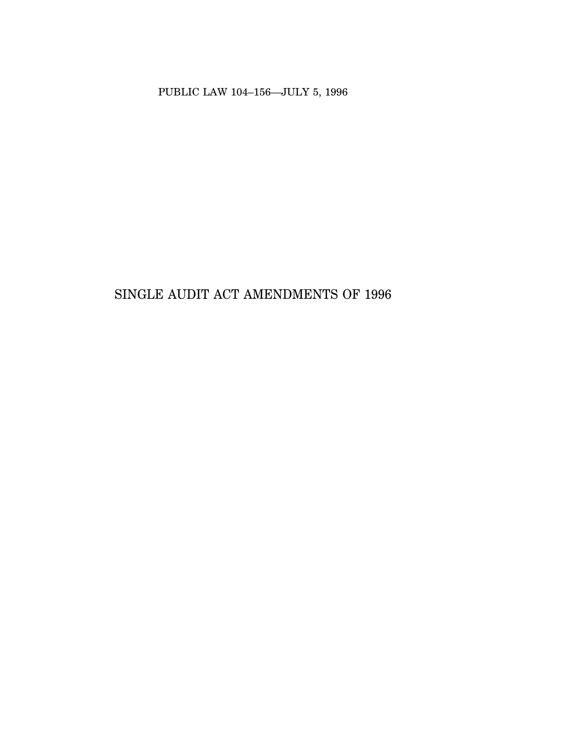PUBLIC LAW 104–156—JULY 5, 1996

# SINGLE AUDIT ACT AMENDMENTS OF 1996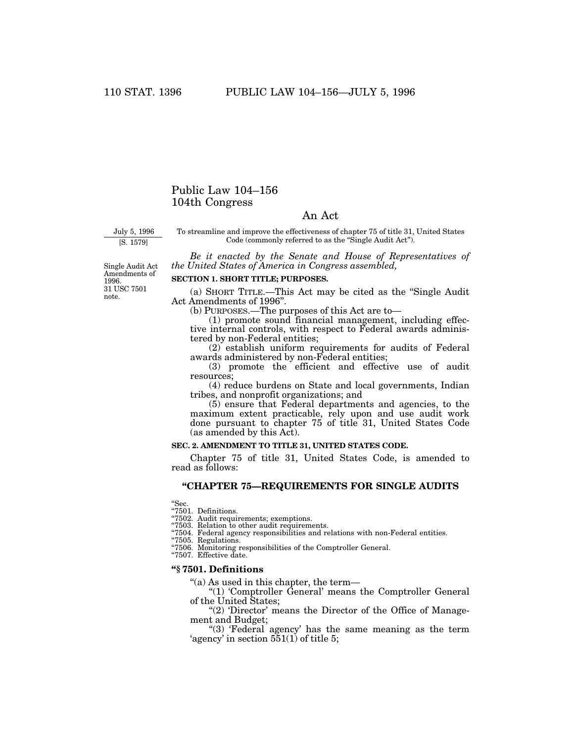# Public Law 104–156 104th Congress

# An Act

July 5, 1996

[S. 1579]

To streamline and improve the effectiveness of chapter 75 of title 31, United States Code (commonly referred to as the "Single Audit Act").

*Be it enacted by the Senate and House of Representatives of the United States of America in Congress assembled,*

Single Audit Act Amendments of 1996. 31 USC 7501 note.

# **SECTION 1. SHORT TITLE; PURPOSES.**

(a) SHORT TITLE.—This Act may be cited as the ''Single Audit Act Amendments of 1996''.

(b) PURPOSES.—The purposes of this Act are to—

(1) promote sound financial management, including effective internal controls, with respect to Federal awards administered by non-Federal entities;

(2) establish uniform requirements for audits of Federal awards administered by non-Federal entities;

(3) promote the efficient and effective use of audit resources;

(4) reduce burdens on State and local governments, Indian tribes, and nonprofit organizations; and

(5) ensure that Federal departments and agencies, to the maximum extent practicable, rely upon and use audit work done pursuant to chapter 75 of title 31, United States Code (as amended by this Act).

#### **SEC. 2. AMENDMENT TO TITLE 31, UNITED STATES CODE.**

Chapter 75 of title 31, United States Code, is amended to read as follows:

#### **''CHAPTER 75—REQUIREMENTS FOR SINGLE AUDITS**

"Sec.<br>"7501. Definitions.<br>"7502. Audit requirements; exemptions.<br>"7503. Relation to other audit requirements.<br>"7503. Rederal agency responsibilities and relations with non-Federal entities.<br>"7504. Federal agency responsibi

"7505. Regulations.<br>"7505. Regulations."<br>"7506. Monitoring responsibilities of the Comptroller General.<br>"7507. Effective date.

#### **''§ 7501. Definitions**

''(a) As used in this chapter, the term—

''(1) 'Comptroller General' means the Comptroller General of the United States;

''(2) 'Director' means the Director of the Office of Management and Budget;

''(3) 'Federal agency' has the same meaning as the term 'agency' in section  $551(1)$  of title 5;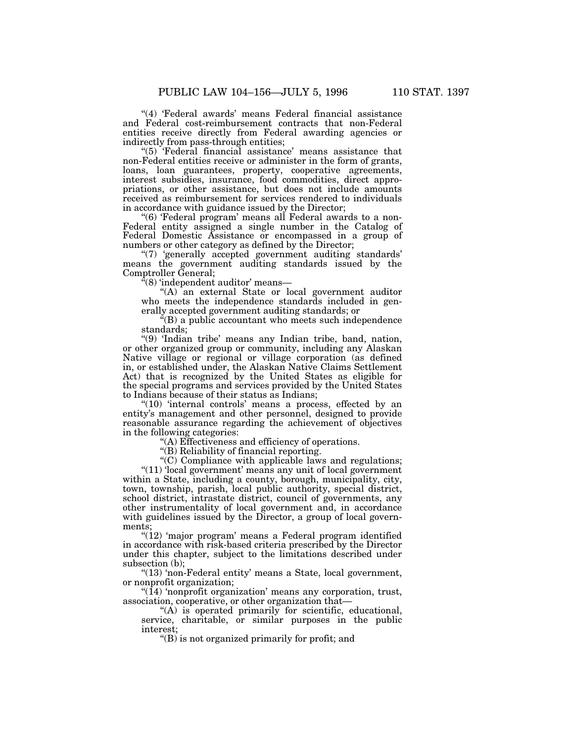"(4) 'Federal awards' means Federal financial assistance and Federal cost-reimbursement contracts that non-Federal entities receive directly from Federal awarding agencies or indirectly from pass-through entities;

''(5) 'Federal financial assistance' means assistance that non-Federal entities receive or administer in the form of grants, loans, loan guarantees, property, cooperative agreements, interest subsidies, insurance, food commodities, direct appropriations, or other assistance, but does not include amounts received as reimbursement for services rendered to individuals in accordance with guidance issued by the Director;

''(6) 'Federal program' means all Federal awards to a non-Federal entity assigned a single number in the Catalog of Federal Domestic Assistance or encompassed in a group of numbers or other category as defined by the Director;

''(7) 'generally accepted government auditing standards' means the government auditing standards issued by the Comptroller General;

"(8) 'independent auditor' means—

"(A) an external State or local government auditor who meets the independence standards included in generally accepted government auditing standards; or

''(B) a public accountant who meets such independence standards;

''(9) 'Indian tribe' means any Indian tribe, band, nation, or other organized group or community, including any Alaskan Native village or regional or village corporation (as defined in, or established under, the Alaskan Native Claims Settlement Act) that is recognized by the United States as eligible for the special programs and services provided by the United States to Indians because of their status as Indians;

"(10) 'internal controls' means a process, effected by an entity's management and other personnel, designed to provide reasonable assurance regarding the achievement of objectives in the following categories:

''(A) Effectiveness and efficiency of operations.

''(B) Reliability of financial reporting.

''(C) Compliance with applicable laws and regulations; ''(11) 'local government' means any unit of local government within a State, including a county, borough, municipality, city, town, township, parish, local public authority, special district, school district, intrastate district, council of governments, any other instrumentality of local government and, in accordance with guidelines issued by the Director, a group of local governments;

"(12) 'major program' means a Federal program identified in accordance with risk-based criteria prescribed by the Director under this chapter, subject to the limitations described under subsection (b);

"(13) 'non-Federal entity' means a State, local government, or nonprofit organization;

"(14) 'nonprofit organization' means any corporation, trust, association, cooperative, or other organization that—

"(A) is operated primarily for scientific, educational, service, charitable, or similar purposes in the public interest;

''(B) is not organized primarily for profit; and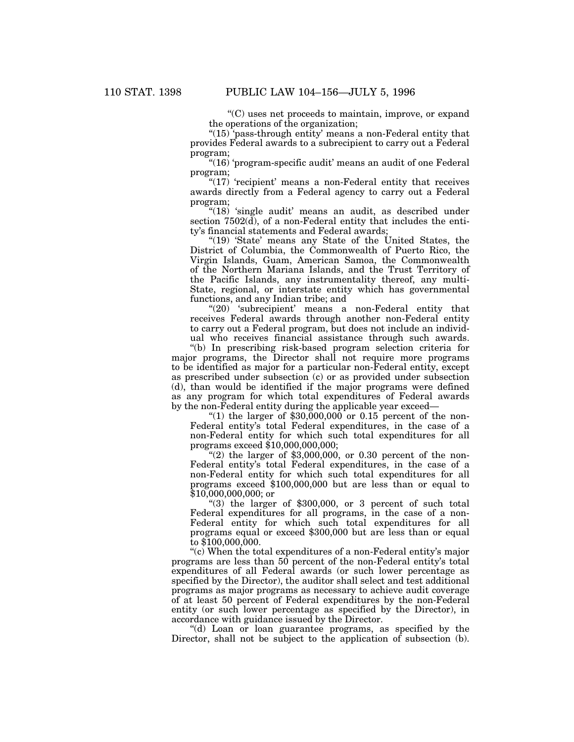''(C) uses net proceeds to maintain, improve, or expand the operations of the organization;

" $(15)$  'pass-through entity' means a non-Federal entity that provides Federal awards to a subrecipient to carry out a Federal program;

''(16) 'program-specific audit' means an audit of one Federal program;

" $(17)$  'recipient' means a non-Federal entity that receives awards directly from a Federal agency to carry out a Federal program;

" $(18)$  'single audit' means an audit, as described under section  $7502(\tilde{d})$ , of a non-Federal entity that includes the entity's financial statements and Federal awards;

"(19) 'State' means any State of the United States, the District of Columbia, the Commonwealth of Puerto Rico, the Virgin Islands, Guam, American Samoa, the Commonwealth of the Northern Mariana Islands, and the Trust Territory of the Pacific Islands, any instrumentality thereof, any multi-State, regional, or interstate entity which has governmental functions, and any Indian tribe; and

" $(20)$  'subrecipient' means a non-Federal entity that receives Federal awards through another non-Federal entity to carry out a Federal program, but does not include an individual who receives financial assistance through such awards.

''(b) In prescribing risk-based program selection criteria for major programs, the Director shall not require more programs to be identified as major for a particular non-Federal entity, except as prescribed under subsection (c) or as provided under subsection (d), than would be identified if the major programs were defined as any program for which total expenditures of Federal awards by the non-Federal entity during the applicable year exceed—

" $(1)$  the larger of \$30,000,000 or 0.15 percent of the non-Federal entity's total Federal expenditures, in the case of a non-Federal entity for which such total expenditures for all programs exceed \$10,000,000,000;

" $(2)$  the larger of \$3,000,000, or 0.30 percent of the non-Federal entity's total Federal expenditures, in the case of a non-Federal entity for which such total expenditures for all programs exceed \$100,000,000 but are less than or equal to  $$10,000,000,000;$  or

" $(3)$  the larger of \$300,000, or 3 percent of such total Federal expenditures for all programs, in the case of a non-Federal entity for which such total expenditures for all programs equal or exceed \$300,000 but are less than or equal  $\bar{t}$ o \$100,000,000.

''(c) When the total expenditures of a non-Federal entity's major programs are less than 50 percent of the non-Federal entity's total expenditures of all Federal awards (or such lower percentage as specified by the Director), the auditor shall select and test additional programs as major programs as necessary to achieve audit coverage of at least 50 percent of Federal expenditures by the non-Federal entity (or such lower percentage as specified by the Director), in accordance with guidance issued by the Director.

''(d) Loan or loan guarantee programs, as specified by the Director, shall not be subject to the application of subsection (b).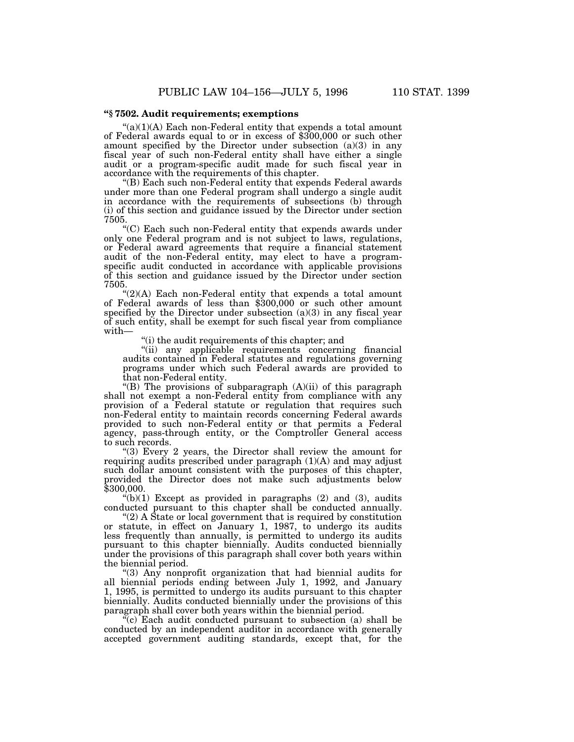$\mathcal{L}(a)(1)(A)$  Each non-Federal entity that expends a total amount of Federal awards equal to or in excess of \$300,000 or such other amount specified by the Director under subsection  $(a)(3)$  in any fiscal year of such non-Federal entity shall have either a single audit or a program-specific audit made for such fiscal year in accordance with the requirements of this chapter.

''(B) Each such non-Federal entity that expends Federal awards under more than one Federal program shall undergo a single audit in accordance with the requirements of subsections (b) through (i) of this section and guidance issued by the Director under section 7505.

''(C) Each such non-Federal entity that expends awards under only one Federal program and is not subject to laws, regulations, or Federal award agreements that require a financial statement audit of the non-Federal entity, may elect to have a programspecific audit conducted in accordance with applicable provisions of this section and guidance issued by the Director under section 7505.

 $''(2)(A)$  Each non-Federal entity that expends a total amount of Federal awards of less than \$300,000 or such other amount specified by the Director under subsection  $(a)(3)$  in any fiscal year of such entity, shall be exempt for such fiscal year from compliance with—

''(i) the audit requirements of this chapter; and

"(ii) any applicable requirements concerning financial audits contained in Federal statutes and regulations governing programs under which such Federal awards are provided to that non-Federal entity.

"(B) The provisions of subparagraph  $(A)(ii)$  of this paragraph shall not exempt a non-Federal entity from compliance with any provision of a Federal statute or regulation that requires such non-Federal entity to maintain records concerning Federal awards provided to such non-Federal entity or that permits a Federal agency, pass-through entity, or the Comptroller General access to such records.

"(3) Every 2 years, the Director shall review the amount for requiring audits prescribed under paragraph (1)(A) and may adjust such dollar amount consistent with the purposes of this chapter, provided the Director does not make such adjustments below \$300,000.

 $'(b)(1)$  Except as provided in paragraphs  $(2)$  and  $(3)$ , audits conducted pursuant to this chapter shall be conducted annually.

 $(2)$  A State or local government that is required by constitution or statute, in effect on January 1, 1987, to undergo its audits less frequently than annually, is permitted to undergo its audits pursuant to this chapter biennially. Audits conducted biennially under the provisions of this paragraph shall cover both years within the biennial period.

''(3) Any nonprofit organization that had biennial audits for all biennial periods ending between July 1, 1992, and January 1, 1995, is permitted to undergo its audits pursuant to this chapter biennially. Audits conducted biennially under the provisions of this paragraph shall cover both years within the biennial period.

''(c) Each audit conducted pursuant to subsection (a) shall be conducted by an independent auditor in accordance with generally accepted government auditing standards, except that, for the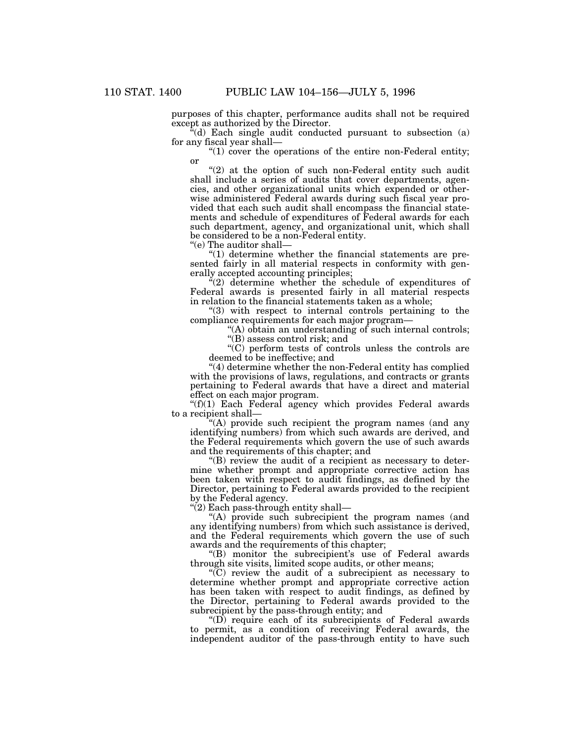purposes of this chapter, performance audits shall not be required except as authorized by the Director.

 $\ddot{a}$ (d) Each single audit conducted pursuant to subsection (a) for any fiscal year shall—

" $(1)$  cover the operations of the entire non-Federal entity; or

" $(2)$  at the option of such non-Federal entity such audit shall include a series of audits that cover departments, agencies, and other organizational units which expended or otherwise administered Federal awards during such fiscal year provided that each such audit shall encompass the financial statements and schedule of expenditures of Federal awards for each such department, agency, and organizational unit, which shall be considered to be a non-Federal entity.

''(e) The auditor shall—

" $(1)$  determine whether the financial statements are presented fairly in all material respects in conformity with generally accepted accounting principles;

 $*(2)$  determine whether the schedule of expenditures of Federal awards is presented fairly in all material respects in relation to the financial statements taken as a whole;

"(3) with respect to internal controls pertaining to the compliance requirements for each major program—

"(A) obtain an understanding of such internal controls; ''(B) assess control risk; and

''(C) perform tests of controls unless the controls are deemed to be ineffective; and

''(4) determine whether the non-Federal entity has complied with the provisions of laws, regulations, and contracts or grants pertaining to Federal awards that have a direct and material effect on each major program.

"(f)(1) Each Federal agency which provides Federal awards to a recipient shall—

"(A) provide such recipient the program names (and any identifying numbers) from which such awards are derived, and the Federal requirements which govern the use of such awards and the requirements of this chapter; and

''(B) review the audit of a recipient as necessary to determine whether prompt and appropriate corrective action has been taken with respect to audit findings, as defined by the Director, pertaining to Federal awards provided to the recipient by the Federal agency.

''(2) Each pass-through entity shall—

''(A) provide such subrecipient the program names (and any identifying numbers) from which such assistance is derived, and the Federal requirements which govern the use of such awards and the requirements of this chapter;

''(B) monitor the subrecipient's use of Federal awards through site visits, limited scope audits, or other means;

 $\widetilde{C}$  review the audit of a subrecipient as necessary to determine whether prompt and appropriate corrective action has been taken with respect to audit findings, as defined by the Director, pertaining to Federal awards provided to the subrecipient by the pass-through entity; and

''(D) require each of its subrecipients of Federal awards to permit, as a condition of receiving Federal awards, the independent auditor of the pass-through entity to have such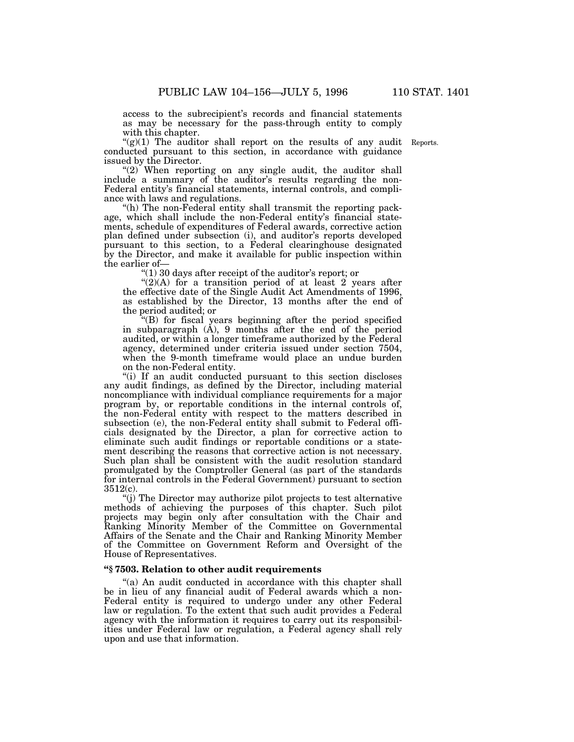access to the subrecipient's records and financial statements as may be necessary for the pass-through entity to comply with this chapter.

" $(g)(1)$  The auditor shall report on the results of any audit Reports. conducted pursuant to this section, in accordance with guidance issued by the Director.

"(2) When reporting on any single audit, the auditor shall include a summary of the auditor's results regarding the non-Federal entity's financial statements, internal controls, and compliance with laws and regulations.

"(h) The non-Federal entity shall transmit the reporting package, which shall include the non-Federal entity's financial statements, schedule of expenditures of Federal awards, corrective action plan defined under subsection (i), and auditor's reports developed pursuant to this section, to a Federal clearinghouse designated by the Director, and make it available for public inspection within the earlier of—

 $''(1)$  30 days after receipt of the auditor's report; or

 $''(2)$ (A) for a transition period of at least 2 years after the effective date of the Single Audit Act Amendments of 1996, as established by the Director, 13 months after the end of the period audited; or

''(B) for fiscal years beginning after the period specified in subparagraph (A), 9 months after the end of the period audited, or within a longer timeframe authorized by the Federal agency, determined under criteria issued under section 7504, when the 9-month timeframe would place an undue burden on the non-Federal entity.

"(i) If an audit conducted pursuant to this section discloses any audit findings, as defined by the Director, including material noncompliance with individual compliance requirements for a major program by, or reportable conditions in the internal controls of, the non-Federal entity with respect to the matters described in subsection (e), the non-Federal entity shall submit to Federal officials designated by the Director, a plan for corrective action to eliminate such audit findings or reportable conditions or a statement describing the reasons that corrective action is not necessary. Such plan shall be consistent with the audit resolution standard promulgated by the Comptroller General (as part of the standards for internal controls in the Federal Government) pursuant to section 3512(c).

''(j) The Director may authorize pilot projects to test alternative methods of achieving the purposes of this chapter. Such pilot projects may begin only after consultation with the Chair and Ranking Minority Member of the Committee on Governmental Affairs of the Senate and the Chair and Ranking Minority Member of the Committee on Government Reform and Oversight of the House of Representatives.

# **''§ 7503. Relation to other audit requirements**

"(a) An audit conducted in accordance with this chapter shall be in lieu of any financial audit of Federal awards which a non-Federal entity is required to undergo under any other Federal law or regulation. To the extent that such audit provides a Federal agency with the information it requires to carry out its responsibilities under Federal law or regulation, a Federal agency shall rely upon and use that information.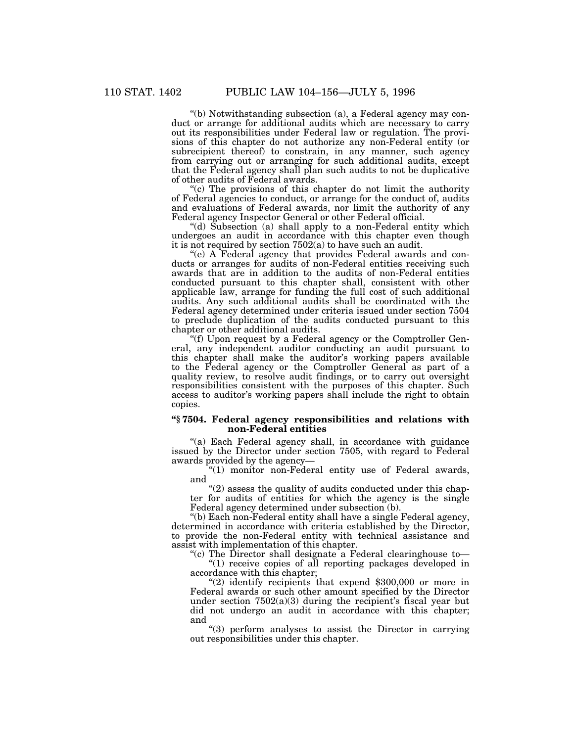''(b) Notwithstanding subsection (a), a Federal agency may conduct or arrange for additional audits which are necessary to carry out its responsibilities under Federal law or regulation. The provisions of this chapter do not authorize any non-Federal entity (or subrecipient thereof) to constrain, in any manner, such agency from carrying out or arranging for such additional audits, except that the Federal agency shall plan such audits to not be duplicative of other audits of Federal awards.

"(c) The provisions of this chapter do not limit the authority of Federal agencies to conduct, or arrange for the conduct of, audits and evaluations of Federal awards, nor limit the authority of any Federal agency Inspector General or other Federal official.

"(d) Subsection (a) shall apply to a non-Federal entity which undergoes an audit in accordance with this chapter even though it is not required by section 7502(a) to have such an audit.

''(e) A Federal agency that provides Federal awards and conducts or arranges for audits of non-Federal entities receiving such awards that are in addition to the audits of non-Federal entities conducted pursuant to this chapter shall, consistent with other applicable law, arrange for funding the full cost of such additional audits. Any such additional audits shall be coordinated with the Federal agency determined under criteria issued under section 7504 to preclude duplication of the audits conducted pursuant to this chapter or other additional audits.

''(f) Upon request by a Federal agency or the Comptroller General, any independent auditor conducting an audit pursuant to this chapter shall make the auditor's working papers available to the Federal agency or the Comptroller General as part of a quality review, to resolve audit findings, or to carry out oversight responsibilities consistent with the purposes of this chapter. Such access to auditor's working papers shall include the right to obtain copies.

### **''§ 7504. Federal agency responsibilities and relations with non-Federal entities**

''(a) Each Federal agency shall, in accordance with guidance issued by the Director under section 7505, with regard to Federal awards provided by the agency—

"(1) monitor non-Federal entity use of Federal awards, and

 $''(2)$  assess the quality of audits conducted under this chapter for audits of entities for which the agency is the single Federal agency determined under subsection (b).

''(b) Each non-Federal entity shall have a single Federal agency, determined in accordance with criteria established by the Director, to provide the non-Federal entity with technical assistance and assist with implementation of this chapter.

''(c) The Director shall designate a Federal clearinghouse to—

''(1) receive copies of all reporting packages developed in accordance with this chapter;

" $(2)$  identify recipients that expend \$300,000 or more in Federal awards or such other amount specified by the Director under section  $7502(a)(3)$  during the recipient's fiscal year but did not undergo an audit in accordance with this chapter; and

''(3) perform analyses to assist the Director in carrying out responsibilities under this chapter.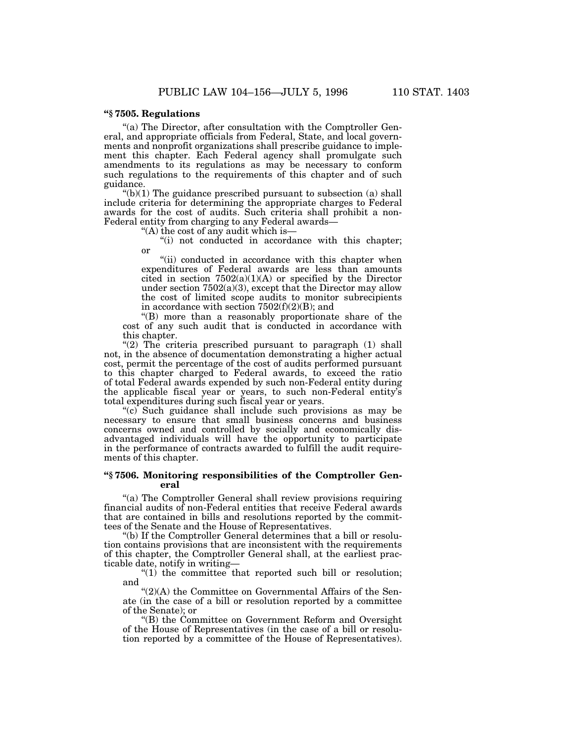### **''§ 7505. Regulations**

"(a) The Director, after consultation with the Comptroller General, and appropriate officials from Federal, State, and local governments and nonprofit organizations shall prescribe guidance to implement this chapter. Each Federal agency shall promulgate such amendments to its regulations as may be necessary to conform such regulations to the requirements of this chapter and of such guidance.

" $(b)(1)$  The guidance prescribed pursuant to subsection  $(a)$  shall include criteria for determining the appropriate charges to Federal awards for the cost of audits. Such criteria shall prohibit a non-Federal entity from charging to any Federal awards—

''(A) the cost of any audit which is—

"(i) not conducted in accordance with this chapter; or

''(ii) conducted in accordance with this chapter when expenditures of Federal awards are less than amounts cited in section  $7502(a)(1)(A)$  or specified by the Director under section  $7502(a)(3)$ , except that the Director may allow the cost of limited scope audits to monitor subrecipients in accordance with section  $7502(f)(2)(B)$ ; and

''(B) more than a reasonably proportionate share of the cost of any such audit that is conducted in accordance with this chapter.

"(2) The criteria prescribed pursuant to paragraph (1) shall not, in the absence of documentation demonstrating a higher actual cost, permit the percentage of the cost of audits performed pursuant to this chapter charged to Federal awards, to exceed the ratio of total Federal awards expended by such non-Federal entity during the applicable fiscal year or years, to such non-Federal entity's total expenditures during such fiscal year or years.

''(c) Such guidance shall include such provisions as may be necessary to ensure that small business concerns and business concerns owned and controlled by socially and economically disadvantaged individuals will have the opportunity to participate in the performance of contracts awarded to fulfill the audit requirements of this chapter.

### **''§ 7506. Monitoring responsibilities of the Comptroller General**

"(a) The Comptroller General shall review provisions requiring financial audits of non-Federal entities that receive Federal awards that are contained in bills and resolutions reported by the committees of the Senate and the House of Representatives.

''(b) If the Comptroller General determines that a bill or resolution contains provisions that are inconsistent with the requirements of this chapter, the Comptroller General shall, at the earliest practicable date, notify in writing—

 $(1)$  the committee that reported such bill or resolution; and

 $''(2)$ (A) the Committee on Governmental Affairs of the Senate (in the case of a bill or resolution reported by a committee of the Senate); or

''(B) the Committee on Government Reform and Oversight of the House of Representatives (in the case of a bill or resolution reported by a committee of the House of Representatives).